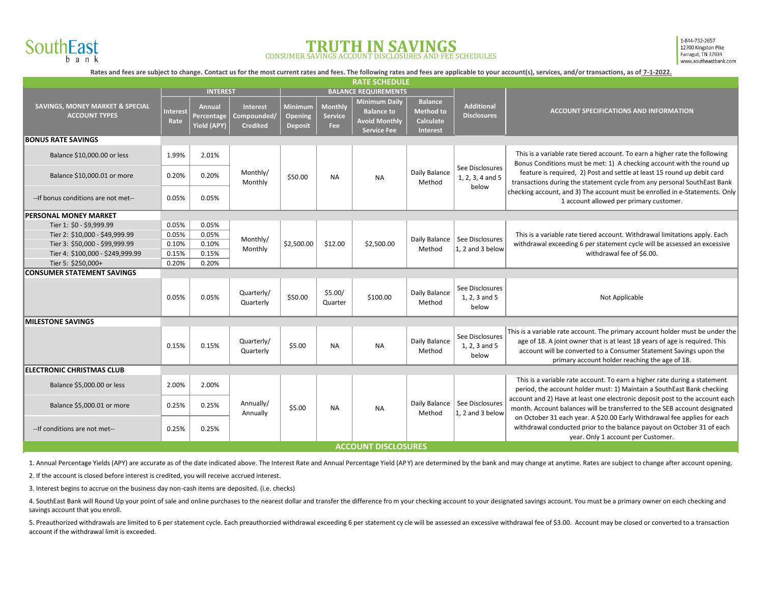

## **TRUTH IN SAVINGS** CONSUMER SAVINGS ACCOUNT DISCLOSURES AND FEE SCHEDULES

1-844-732-2657 12700 Kingston Pike Farragut, TN 37934 www.southeastbank.com

Rates and fees are subject to change. Contact us for the most current rates and fees. The following rates and fees are applicable to your account(s), services, and/or transactions, as of 7-1-2022.

| <b>RATE SCHEDULE</b>                                               |                         |                                     |                                                   |                                                    |                                  |                                                                                         |                                                                           |                                              |                                                                                                                                                                                                                                                                                                                                                                                                                                       |
|--------------------------------------------------------------------|-------------------------|-------------------------------------|---------------------------------------------------|----------------------------------------------------|----------------------------------|-----------------------------------------------------------------------------------------|---------------------------------------------------------------------------|----------------------------------------------|---------------------------------------------------------------------------------------------------------------------------------------------------------------------------------------------------------------------------------------------------------------------------------------------------------------------------------------------------------------------------------------------------------------------------------------|
|                                                                    |                         | <b>INTEREST</b>                     |                                                   |                                                    |                                  | <b>BALANCE REQUIREMENTS</b>                                                             |                                                                           |                                              |                                                                                                                                                                                                                                                                                                                                                                                                                                       |
| <b>SAVINGS, MONEY MARKET &amp; SPECIAL</b><br><b>ACCOUNT TYPES</b> | <b>Interest</b><br>Rate | Annual<br>Percentage<br>Yield (APY) | <b>Interest</b><br>Compounded/<br><b>Credited</b> | <b>Minimum</b><br><b>Opening</b><br><b>Deposit</b> | Monthly<br><b>Service</b><br>Fee | <b>Minimum Daily</b><br><b>Balance to</b><br><b>Avoid Monthly</b><br><b>Service Fee</b> | <b>Balance</b><br><b>Method to</b><br><b>Calculate</b><br><b>Interest</b> | <b>Additional</b><br><b>Disclosures</b>      | <b>ACCOUNT SPECIFICATIONS AND INFORMATION</b>                                                                                                                                                                                                                                                                                                                                                                                         |
| <b>BONUS RATE SAVINGS</b>                                          |                         |                                     |                                                   |                                                    |                                  |                                                                                         |                                                                           |                                              |                                                                                                                                                                                                                                                                                                                                                                                                                                       |
| Balance \$10,000.00 or less                                        | 1.99%                   | 2.01%                               | Monthly/<br>Monthly                               | \$50.00                                            | <b>NA</b>                        | <b>NA</b>                                                                               | Daily Balance<br>Method                                                   | See Disclosures<br>1, 2, 3, 4 and 5<br>below | This is a variable rate tiered account. To earn a higher rate the following<br>Bonus Conditions must be met: 1) A checking account with the round up<br>feature is required, 2) Post and settle at least 15 round up debit card<br>transactions during the statement cycle from any personal SouthEast Bank<br>checking account, and 3) The account must be enrolled in e-Statements. Only<br>1 account allowed per primary customer. |
| Balance \$10,000.01 or more                                        | 0.20%                   | 0.20%                               |                                                   |                                                    |                                  |                                                                                         |                                                                           |                                              |                                                                                                                                                                                                                                                                                                                                                                                                                                       |
| --If bonus conditions are not met--                                | 0.05%                   | 0.05%                               |                                                   |                                                    |                                  |                                                                                         |                                                                           |                                              |                                                                                                                                                                                                                                                                                                                                                                                                                                       |
| <b>PERSONAL MONEY MARKET</b>                                       |                         |                                     |                                                   |                                                    |                                  |                                                                                         |                                                                           |                                              |                                                                                                                                                                                                                                                                                                                                                                                                                                       |
| Tier 1: \$0 - \$9,999.99                                           | 0.05%                   | 0.05%                               |                                                   |                                                    |                                  |                                                                                         |                                                                           |                                              |                                                                                                                                                                                                                                                                                                                                                                                                                                       |
| Tier 2: \$10,000 - \$49,999.99                                     | 0.05%                   | 0.05%                               | Monthly/<br>Monthly                               | \$2,500.00                                         | \$12.00                          | \$2,500.00                                                                              | Daily Balance<br>Method                                                   | See Disclosures<br>1. 2 and 3 below          | This is a variable rate tiered account. Withdrawal limitations apply. Each<br>withdrawal exceeding 6 per statement cycle will be assessed an excessive<br>withdrawal fee of \$6.00.                                                                                                                                                                                                                                                   |
| Tier 3: \$50,000 - \$99,999.99                                     | 0.10%                   | 0.10%                               |                                                   |                                                    |                                  |                                                                                         |                                                                           |                                              |                                                                                                                                                                                                                                                                                                                                                                                                                                       |
| Tier 4: \$100,000 - \$249,999.99                                   | 0.15%                   | 0.15%                               |                                                   |                                                    |                                  |                                                                                         |                                                                           |                                              |                                                                                                                                                                                                                                                                                                                                                                                                                                       |
| Tier 5: \$250,000+                                                 | 0.20%                   | 0.20%                               |                                                   |                                                    |                                  |                                                                                         |                                                                           |                                              |                                                                                                                                                                                                                                                                                                                                                                                                                                       |
| <b>CONSUMER STATEMENT SAVINGS</b>                                  |                         |                                     |                                                   |                                                    |                                  |                                                                                         |                                                                           |                                              |                                                                                                                                                                                                                                                                                                                                                                                                                                       |
|                                                                    | 0.05%                   | 0.05%                               | Quarterly/<br>Quarterly                           | \$50.00                                            | \$5.00/<br>Quarter               | \$100.00                                                                                | Daily Balance<br>Method                                                   | See Disclosures<br>1, 2, 3 and 5<br>below    | Not Applicable                                                                                                                                                                                                                                                                                                                                                                                                                        |
| <b>MILESTONE SAVINGS</b>                                           |                         |                                     |                                                   |                                                    |                                  |                                                                                         |                                                                           |                                              |                                                                                                                                                                                                                                                                                                                                                                                                                                       |
|                                                                    | 0.15%                   | 0.15%                               | Quarterly/<br>Quarterly                           | \$5.00                                             | <b>NA</b>                        | <b>NA</b>                                                                               | Daily Balance<br>Method                                                   | See Disclosures<br>1, 2, 3 and 5<br>below    | This is a variable rate account. The primary account holder must be under the<br>age of 18. A joint owner that is at least 18 years of age is required. This<br>account will be converted to a Consumer Statement Savings upon the<br>primary account holder reaching the age of 18.                                                                                                                                                  |
| <b>ELECTRONIC CHRISTMAS CLUB</b>                                   |                         |                                     |                                                   |                                                    |                                  |                                                                                         |                                                                           |                                              |                                                                                                                                                                                                                                                                                                                                                                                                                                       |
| Balance \$5,000.00 or less                                         | 2.00%                   | 2.00%                               |                                                   |                                                    |                                  |                                                                                         |                                                                           |                                              | This is a variable rate account. To earn a higher rate during a statement<br>period, the account holder must: 1) Maintain a SouthEast Bank checking                                                                                                                                                                                                                                                                                   |
| Balance \$5,000.01 or more                                         | 0.25%                   | 0.25%                               | Annually/<br>Annually                             | \$5.00                                             | <b>NA</b>                        | <b>NA</b>                                                                               | Daily Balance<br>Method                                                   | See Disclosures<br>1, 2 and 3 below          | account and 2) Have at least one electronic deposit post to the account each<br>month. Account balances will be transferred to the SEB account designated                                                                                                                                                                                                                                                                             |
| --If conditions are not met--                                      | 0.25%                   | 0.25%                               |                                                   |                                                    |                                  |                                                                                         |                                                                           |                                              | on October 31 each year. A \$20.00 Early Withdrawal fee applies for each<br>withdrawal conducted prior to the balance payout on October 31 of each<br>year. Only 1 account per Customer.                                                                                                                                                                                                                                              |
| <b>ACCOUNT DISCLOSURES</b>                                         |                         |                                     |                                                   |                                                    |                                  |                                                                                         |                                                                           |                                              |                                                                                                                                                                                                                                                                                                                                                                                                                                       |

1. Annual Percentage Yields (APY) are accurate as of the date indicated above. The Interest Rate and Annual Percentage Yield (APY) are determined by the bank and may change at anytime. Rates are subject to change after acc

2. If the account is closed before interest is credited, you will receive accrued interest.

3. Interest begins to accrue on the business day non-cash items are deposited. (i.e. checks)

4. SouthEast Bank will Round Up your point of sale and online purchases to the nearest dollar and transfer the difference from your checking account to your designated savings account. You must be a primary owner on each c savings account that you enroll.

5. Preauthorized withdrawals are limited to 6 per statement cycle. Each preauthorzied withdrawal exceeding 6 per statement cy cle will be assessed an excessive withdrawal fee of \$3.00. Account may be closed or converted to account if the withdrawal limit is exceeded.